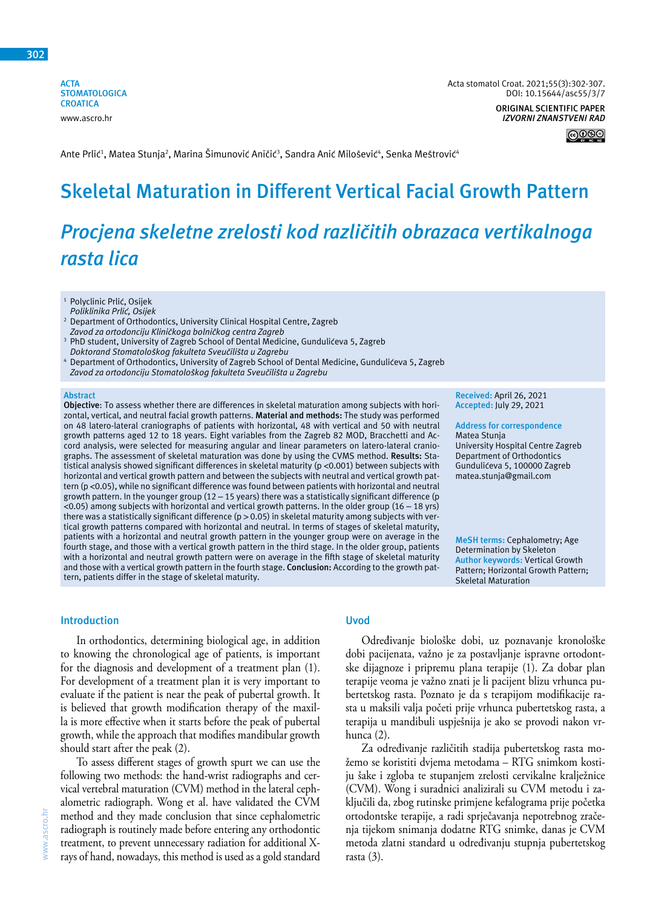**ACTA STOMATOLOGICA CROATICA** www.ascro.hr

**ORIGINAL SCIENTIFIC PAPER** *IZVORNI ZNANSTVENI RAD*

಄®

Ante Prlić<sup>1</sup>, Matea Stunja<sup>2</sup>, Marina Šimunović Aničić<sup>3</sup>, Sandra Anić Milošević", Senka Meštrović"

# **Skeletal Maturation in Different Vertical Facial Growth Pattern**

# *Procjena skeletne zrelosti kod različitih obrazaca vertikalnoga rasta lica*

<sup>1</sup> Polyclinic Prlić, Osijek

- *Poliklinika Prlić, Osijek*
- <sup>2</sup> Department of Orthodontics, University Clinical Hospital Centre, Zagreb *Zavod za ortodonciju Kliničkoga bolničkog centra Zagreb*
- PhD student, University of Zagreb School of Dental Medicine, Gundulićeva 5, Zagreb *Doktorand Stomatološkog fakulteta Sveučilišta u Zagrebu*
- <sup>4</sup> Department of Orthodontics, University of Zagreb School of Dental Medicine, Gundulićeva 5, Zagreb *Zavod za ortodonciju Stomatološkog fakulteta Sveučilišta u Zagrebu*

#### **Abstract**

**Objective**: To assess whether there are differences in skeletal maturation among subjects with horizontal, vertical, and neutral facial growth patterns. **Material and methods:** The study was performed on 48 latero-lateral craniographs of patients with horizontal, 48 with vertical and 50 with neutral growth patterns aged 12 to 18 years. Eight variables from the Zagreb 82 MOD, Bracchetti and Accord analysis, were selected for measuring angular and linear parameters on latero-lateral craniographs. The assessment of skeletal maturation was done by using the CVMS method. **Results:** Statistical analysis showed significant differences in skeletal maturity (p <0.001) between subjects with horizontal and vertical growth pattern and between the subjects with neutral and vertical growth pattern (p <0.05), while no significant difference was found between patients with horizontal and neutral growth pattern. In the younger group  $(12 - 15$  years) there was a statistically significant difference (p <0.05) among subjects with horizontal and vertical growth patterns. In the older group (16 – 18 yrs) there was a statistically significant difference  $(p > 0.05)$  in skeletal maturity among subjects with vertical growth patterns compared with horizontal and neutral. In terms of stages of skeletal maturity, patients with a horizontal and neutral growth pattern in the younger group were on average in the fourth stage, and those with a vertical growth pattern in the third stage. In the older group, patients with a horizontal and neutral growth pattern were on average in the fifth stage of skeletal maturity and those with a vertical growth pattern in the fourth stage. **Conclusion:** According to the growth pattern, patients differ in the stage of skeletal maturity.

## **Introduction**

In orthodontics, determining biological age, in addition to knowing the chronological age of patients, is important for the diagnosis and development of a treatment plan (1). For development of a treatment plan it is very important to evaluate if the patient is near the peak of pubertal growth. It is believed that growth modification therapy of the maxilla is more effective when it starts before the peak of pubertal growth, while the approach that modifies mandibular growth should start after the peak (2).

To assess different stages of growth spurt we can use the following two methods: the hand-wrist radiographs and cervical vertebral maturation (CVM) method in the lateral cephalometric radiograph. Wong et al. have validated the CVM method and they made conclusion that since cephalometric radiograph is routinely made before entering any orthodontic treatment, to prevent unnecessary radiation for additional Xrays of hand, nowadays, this method is used as a gold standard

# **Uvod**

Određivanje biološke dobi, uz poznavanje kronološke dobi pacijenata, važno je za postavljanje ispravne ortodontske dijagnoze i pripremu plana terapije (1). Za dobar plan terapije veoma je važno znati je li pacijent blizu vrhunca pubertetskog rasta. Poznato je da s terapijom modifikacije rasta u maksili valja početi prije vrhunca pubertetskog rasta, a terapija u mandibuli uspješnija je ako se provodi nakon vrhunca (2).

**Received:** April 26, 2021 **Accepted:** July 29, 2021

Matea Stunja

**Address for correspondence**

University Hospital Centre Zagreb Department of Orthodontics Gundulićeva 5, 100000 Zagreb matea.stunja@gmail.com

**MeSH terms:** Cephalometry; Age Determination by Skeleton **Author keywords:** Vertical Growth Pattern; Horizontal Growth Pattern;

Skeletal Maturation

Za određivanje različitih stadija pubertetskog rasta možemo se koristiti dvjema metodama – RTG snimkom kostiju šake i zgloba te stupanjem zrelosti cervikalne kralježnice (CVM). Wong i suradnici analizirali su CVM metodu i zaključili da, zbog rutinske primjene kefalograma prije početka ortodontske terapije, a radi sprječavanja nepotrebnog zračenja tijekom snimanja dodatne RTG snimke, danas je CVM metoda zlatni standard u određivanju stupnja pubertetskog rasta (3).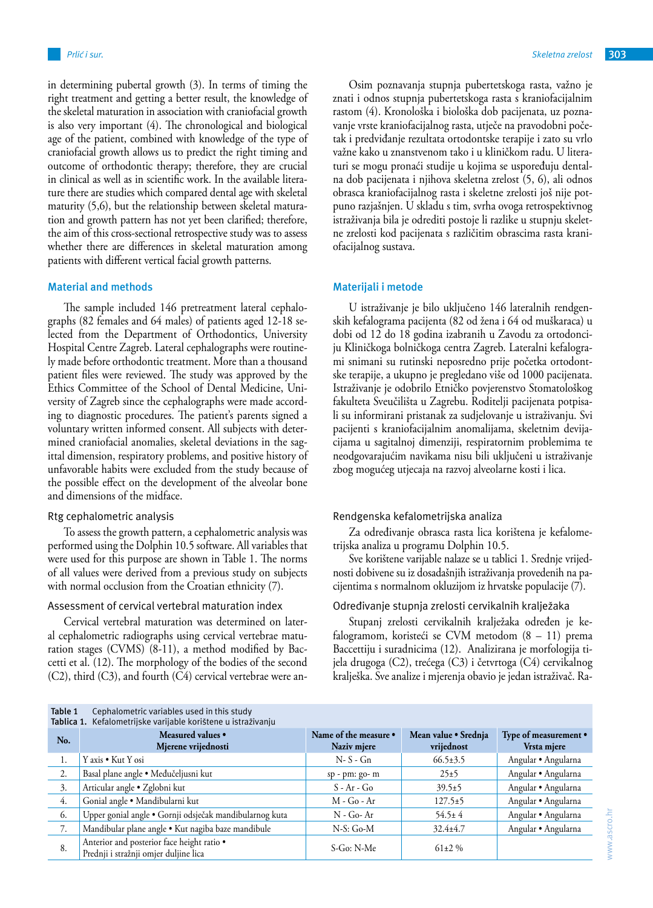in determining pubertal growth (3). In terms of timing the right treatment and getting a better result, the knowledge of the skeletal maturation in association with craniofacial growth is also very important (4). The chronological and biological age of the patient, combined with knowledge of the type of craniofacial growth allows us to predict the right timing and outcome of orthodontic therapy; therefore, they are crucial in clinical as well as in scientific work. In the available literature there are studies which compared dental age with skeletal maturity (5,6), but the relationship between skeletal maturation and growth pattern has not yet been clarified; therefore, the aim of this cross-sectional retrospective study was to assess whether there are differences in skeletal maturation among patients with different vertical facial growth patterns.

## **Material and methods**

The sample included 146 pretreatment lateral cephalographs (82 females and 64 males) of patients aged 12-18 selected from the Department of Orthodontics, University Hospital Centre Zagreb. Lateral cephalographs were routinely made before orthodontic treatment. More than a thousand patient files were reviewed. The study was approved by the Ethics Committee of the School of Dental Medicine, University of Zagreb since the cephalographs were made according to diagnostic procedures. The patient's parents signed a voluntary written informed consent. All subjects with determined craniofacial anomalies, skeletal deviations in the sagittal dimension, respiratory problems, and positive history of unfavorable habits were excluded from the study because of the possible effect on the development of the alveolar bone and dimensions of the midface.

#### Rtg cephalometric analysis

To assess the growth pattern, a cephalometric analysis was performed using the Dolphin 10.5 software. All variables that were used for this purpose are shown in Table 1. The norms of all values were derived from a previous study on subjects with normal occlusion from the Croatian ethnicity (7).

## Assessment of cervical vertebral maturation index

Cervical vertebral maturation was determined on lateral cephalometric radiographs using cervical vertebrae maturation stages (CVMS) (8-11), a method modified by Baccetti et al. (12). The morphology of the bodies of the second (C2), third (C3), and fourth (C4) cervical vertebrae were an-

Osim poznavanja stupnja pubertetskoga rasta, važno je znati i odnos stupnja pubertetskoga rasta s kraniofacijalnim rastom (4). Kronološka i biološka dob pacijenata, uz poznavanje vrste kraniofacijalnog rasta, utječe na pravodobni početak i predviđanje rezultata ortodontske terapije i zato su vrlo važne kako u znanstvenom tako i u kliničkom radu. U literaturi se mogu pronaći studije u kojima se uspoređuju dentalna dob pacijenata i njihova skeletna zrelost (5, 6), ali odnos obrasca kraniofacijalnog rasta i skeletne zrelosti još nije potpuno razjašnjen. U skladu s tim, svrha ovoga retrospektivnog istraživanja bila je odrediti postoje li razlike u stupnju skeletne zrelosti kod pacijenata s različitim obrascima rasta kraniofacijalnog sustava.

## **Materijali i metode**

U istraživanje je bilo uključeno 146 lateralnih rendgenskih kefalograma pacijenta (82 od žena i 64 od muškaraca) u dobi od 12 do 18 godina izabranih u Zavodu za ortodonciju Kliničkoga bolničkoga centra Zagreb. Lateralni kefalogrami snimani su rutinski neposredno prije početka ortodontske terapije, a ukupno je pregledano više od 1000 pacijenata. Istraživanje je odobrilo Etničko povjerenstvo Stomatološkog fakulteta Sveučilišta u Zagrebu. Roditelji pacijenata potpisali su informirani pristanak za sudjelovanje u istraživanju. Svi pacijenti s kraniofacijalnim anomalijama, skeletnim devijacijama u sagitalnoj dimenziji, respiratornim problemima te neodgovarajućim navikama nisu bili uključeni u istraživanje zbog mogućeg utjecaja na razvoj alveolarne kosti i lica.

#### Rendgenska kefalometrijska analiza

Za određivanje obrasca rasta lica korištena je kefalometrijska analiza u programu Dolphin 10.5.

Sve korištene varijable nalaze se u tablici 1. Srednje vrijednosti dobivene su iz dosadašnjih istraživanja provedenih na pacijentima s normalnom okluzijom iz hrvatske populacije (7).

## Određivanje stupnja zrelosti cervikalnih kralježaka

Stupanj zrelosti cervikalnih kralježaka određen je kefalogramom, koristeći se CVM metodom (8 – 11) prema Baccettiju i suradnicima (12). Analizirana je morfologija tijela drugoga (C2), trećega (C3) i četvrtoga (C4) cervikalnog kralješka. Sve analize i mjerenja obavio je jedan istraživač. Ra-

| Tablica 1. Kefalometrijske varijable korištene u istraživanju |                                                                                     |                                      |                                    |                                      |  |
|---------------------------------------------------------------|-------------------------------------------------------------------------------------|--------------------------------------|------------------------------------|--------------------------------------|--|
| No.                                                           | Measured values •<br>Mjerene vrijednosti                                            | Name of the measure •<br>Naziv mjere | Mean value • Srednja<br>vrijednost | Type of measurement •<br>Vrsta mjere |  |
| 1.                                                            | Y axis • Kut Y osi                                                                  | $N-S-Gn$                             | $66.5 \pm 3.5$                     | Angular • Angularna                  |  |
| 2.                                                            | Basal plane angle · Međučeljusni kut                                                | $sp - pm$ : go- $m$                  | $25 \pm 5$                         | Angular · Angularna                  |  |
| 3.                                                            | Articular angle • Zglobni kut                                                       | $S - Ar - Go$                        | $39.5 \pm 5$                       | Angular • Angularna                  |  |
| 4.                                                            | Gonial angle · Mandibularni kut                                                     | $M - Go - Ar$                        | $127.5 \pm 5$                      | Angular • Angularna                  |  |
| 6.                                                            | Upper gonial angle · Gornji odsječak mandibularnog kuta                             | $N - Go - Ar$                        | $54.5 \pm 4$                       | Angular • Angularna                  |  |
| 7.                                                            | Mandibular plane angle · Kut nagiba baze mandibule                                  | $N-S:Go-M$                           | $32.4 \pm 4.7$                     | Angular • Angularna                  |  |
| 8.                                                            | Anterior and posterior face height ratio .<br>Prednji i stražnji omjer duljine lica | S-Go: N-Me                           | $61\pm2\%$                         |                                      |  |

**Table 1** Cephalometric variables used in this study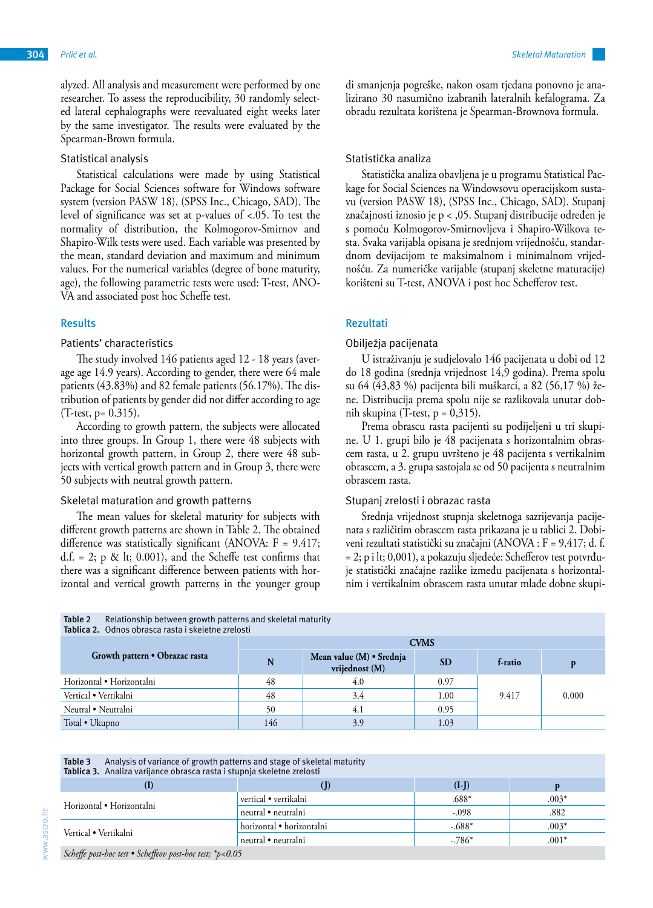alyzed. All analysis and measurement were performed by one researcher. To assess the reproducibility, 30 randomly selected lateral cephalographs were reevaluated eight weeks later by the same investigator. The results were evaluated by the Spearman-Brown formula.

## Statistical analysis

Statistical calculations were made by using Statistical Package for Social Sciences software for Windows software system (version PASW 18), (SPSS Inc., Chicago, SAD). The level of significance was set at p-values of <.05. To test the normality of distribution, the Kolmogorov-Smirnov and Shapiro-Wilk tests were used. Each variable was presented by the mean, standard deviation and maximum and minimum values. For the numerical variables (degree of bone maturity, age), the following parametric tests were used: T-test, ANO-VA and associated post hoc Scheffe test.

## **Results**

## Patients' characteristics

The study involved 146 patients aged 12 - 18 years (average age 14.9 years). According to gender, there were 64 male patients (43.83%) and 82 female patients (56.17%). The distribution of patients by gender did not differ according to age (T-test, p= 0.315).

According to growth pattern, the subjects were allocated into three groups. In Group 1, there were 48 subjects with horizontal growth pattern, in Group 2, there were 48 subjects with vertical growth pattern and in Group 3, there were 50 subjects with neutral growth pattern.

## Skeletal maturation and growth patterns

**Table 2 Relationship between growth patterns and skeletal maturity patterns and skeletal maturity and skeletal maturity and skeletal maturity and skeletal maturity and skeletal maturity and skeletal maturity and skeleta** 

The mean values for skeletal maturity for subjects with different growth patterns are shown in Table 2. The obtained difference was statistically significant (ANOVA: F = 9.417; d.f. = 2;  $p \< 1$ ; 0.001), and the Scheffe test confirms that there was a significant difference between patients with horizontal and vertical growth patterns in the younger group di smanjenja pogreške, nakon osam tjedana ponovno je analizirano 30 nasumično izabranih lateralnih kefalograma. Za obradu rezultata korištena je Spearman-Brownova formula.

## Statistička analiza

Statistička analiza obavljena je u programu Statistical Package for Social Sciences na Windowsovu operacijskom sustavu (version PASW 18), (SPSS Inc., Chicago, SAD). Stupanj značajnosti iznosio je p < ,05. Stupanj distribucije određen je s pomoću Kolmogorov-Smirnovljeva i Shapiro-Wilkova testa. Svaka varijabla opisana je srednjom vrijednošću, standardnom devijacijom te maksimalnom i minimalnom vrijednošću. Za numeričke varijable (stupanj skeletne maturacije) korišteni su T-test, ANOVA i post hoc Schefferov test.

## **Rezultati**

## Obilježja pacijenata

U istraživanju je sudjelovalo 146 pacijenata u dobi od 12 do 18 godina (srednja vrijednost 14,9 godina). Prema spolu su 64 (43,83 %) pacijenta bili muškarci, a 82 (56,17 %) žene. Distribucija prema spolu nije se razlikovala unutar dobnih skupina (T-test,  $p = 0.315$ ).

Prema obrascu rasta pacijenti su podijeljeni u tri skupine. U 1. grupi bilo je 48 pacijenata s horizontalnim obrascem rasta, u 2. grupu uvršteno je 48 pacijenta s vertikalnim obrascem, a 3. grupa sastojala se od 50 pacijenta s neutralnim obrascem rasta.

## Stupanj zrelosti i obrazac rasta

neutral • neutralni .001<sup>\*</sup> ... .001<sup>\*</sup>

Srednja vrijednost stupnja skeletnoga sazrijevanja pacijenata s različitim obrascem rasta prikazana je u tablici 2. Dobiveni rezultati statistički su značajni (ANOVA : F = 9,417; d. f. = 2; p i lt; 0,001), a pokazuju sljedeće: Schefferov test potvrđuje statistički značajne razlike između pacijenata s horizontalnim i vertikalnim obrascem rasta unutar mlađe dobne skupi-

| Table 2<br>Relationship between growth patterns and skeletal maturity<br>Tablica 2. Odnos obrasca rasta i skeletne zrelosti |             |                                              |           |         |       |
|-----------------------------------------------------------------------------------------------------------------------------|-------------|----------------------------------------------|-----------|---------|-------|
|                                                                                                                             | <b>CVMS</b> |                                              |           |         |       |
| Growth pattern • Obrazac rasta                                                                                              | N           | Mean value $(M)$ • Srednja<br>vrijednost (M) | <b>SD</b> | f-ratio |       |
| Horizontal • Horizontalni                                                                                                   | 48          | 4.0                                          | 0.97      |         |       |
| Vertical • Vertikalni                                                                                                       | 48          | 3.4                                          | 1.00      | 9.417   | 0.000 |
| Neutral • Neutralni                                                                                                         | 50          | 4.1                                          | 0.95      |         |       |
| Total • Ukupno                                                                                                              | 146         | 3.9                                          | 1.03      |         |       |

| Table 3                   | Analysis of variance of growth patterns and stage of skeletal maturity<br>Tablica 3. Analiza varijance obrasca rasta i stupnja skeletne zrelosti |         |         |  |  |
|---------------------------|--------------------------------------------------------------------------------------------------------------------------------------------------|---------|---------|--|--|
|                           |                                                                                                                                                  | (I-I)   |         |  |  |
|                           | vertical • vertikalni                                                                                                                            | $.688*$ | $.003*$ |  |  |
| Horizontal • Horizontalni | neutral • neutralni                                                                                                                              | -.098   | 882     |  |  |

Vertical • Vertikalni horizontal • horizontalni -.688\* .003\*

*Scheffe post-hoc test • Scheffeov post-hoc test; \*p<0.05*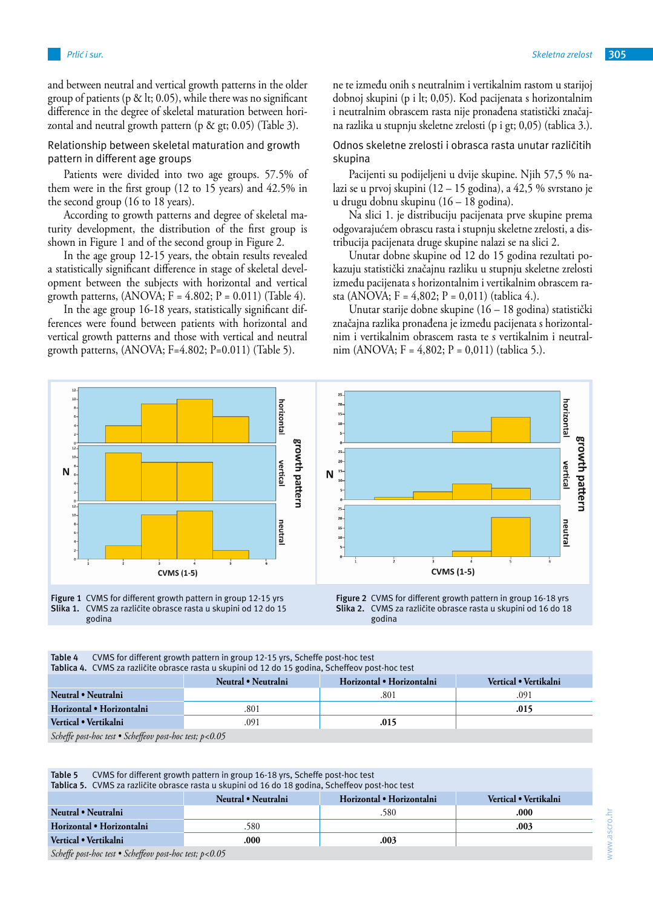and between neutral and vertical growth patterns in the older group of patients (p & lt; 0.05), while there was no significant difference in the degree of skeletal maturation between horizontal and neutral growth pattern (p & gt; 0.05) (Table 3).

Relationship between skeletal maturation and growth pattern in different age groups

Patients were divided into two age groups. 57.5% of them were in the first group (12 to 15 years) and 42.5% in the second group (16 to 18 years).

According to growth patterns and degree of skeletal maturity development, the distribution of the first group is shown in Figure 1 and of the second group in Figure 2.

In the age group 12-15 years, the obtain results revealed a statistically significant difference in stage of skeletal development between the subjects with horizontal and vertical growth patterns,  $(ANOVA; F = 4.802; P = 0.011)$  (Table 4).

In the age group 16-18 years, statistically significant differences were found between patients with horizontal and vertical growth patterns and those with vertical and neutral growth patterns, (ANOVA; F=4.802; P=0.011) (Table 5).

ne te između onih s neutralnim i vertikalnim rastom u starijoj dobnoj skupini (p i lt; 0,05). Kod pacijenata s horizontalnim i neutralnim obrascem rasta nije pronađena statistički značajna razlika u stupnju skeletne zrelosti (p i gt; 0,05) (tablica 3.).

Odnos skeletne zrelosti i obrasca rasta unutar različitih skupina

Pacijenti su podijeljeni u dvije skupine. Njih 57,5 % nalazi se u prvoj skupini (12 – 15 godina), a 42,5 % svrstano je u drugu dobnu skupinu (16 – 18 godina).

Na slici 1. je distribuciju pacijenata prve skupine prema odgovarajućem obrascu rasta i stupnju skeletne zrelosti, a distribucija pacijenata druge skupine nalazi se na slici 2.

Unutar dobne skupine od 12 do 15 godina rezultati pokazuju statistički značajnu razliku u stupnju skeletne zrelosti između pacijenata s horizontalnim i vertikalnim obrascem rasta (ANOVA; F = 4,802; P = 0,011) (tablica 4.).

Unutar starije dobne skupine (16 – 18 godina) statistički značajna razlika pronađena je između pacijenata s horizontalnim i vertikalnim obrascem rasta te s vertikalnim i neutralnim (ANOVA; F = 4,802; P = 0,011) (tablica 5.).



Figure 1 CVMS for different growth pattern in group 12-15 yrs **Slika 1.** CVMS za različite obrasce rasta u skupini od 12 do 15 godina



**Figure 2** CVMS for different growth pattern in group 16-18 yrs **Slika 2.** CVMS za različite obrasce rasta u skupini od 16 do 18 godina

| Table 4                                                            | CVMS for different growth pattern in group 12-15 yrs, Scheffe post-hoc test<br>Tablica 4. CVMS za različite obrasce rasta u skupini od 12 do 15 godina, Scheffeov post-hoc test |                           |                       |  |  |  |
|--------------------------------------------------------------------|---------------------------------------------------------------------------------------------------------------------------------------------------------------------------------|---------------------------|-----------------------|--|--|--|
|                                                                    | Neutral • Neutralni                                                                                                                                                             | Horizontal • Horizontalni | Vertical • Vertikalni |  |  |  |
| Neutral • Neutralni                                                |                                                                                                                                                                                 | .801                      | .091                  |  |  |  |
| Horizontal • Horizontalni                                          | .801                                                                                                                                                                            |                           | .015                  |  |  |  |
| Vertical • Vertikalni                                              | .091                                                                                                                                                                            | .015                      |                       |  |  |  |
| $0.1 \, \alpha$ $1 \, \alpha$ $0.1 \, \alpha$ $1 \, \alpha$ $0.25$ |                                                                                                                                                                                 |                           |                       |  |  |  |

*Scheffe post-hoc test • Scheffeov post-hoc test; p<0.05*

# **Table 5** CVMS for different growth pattern in group 16-18 yrs, Scheffe post-hoc test **Tablica 5.** CVMS za različite obrasce rasta u skupini od 16 do 18 godina, Scheffeov post-hoc test **Neutral • Neutralni Horizontal • Horizontalni Vertical • Vertikalni Neutral • Neutralni** .580 **.000 Horizontal • Horizontalni** .580 **.003 Vertical • Vertikalni .000 .003** *Scheffe post-hoc test • Scheffeov post-hoc test; p<0.05*

www.ascro.hr www.ascro.hr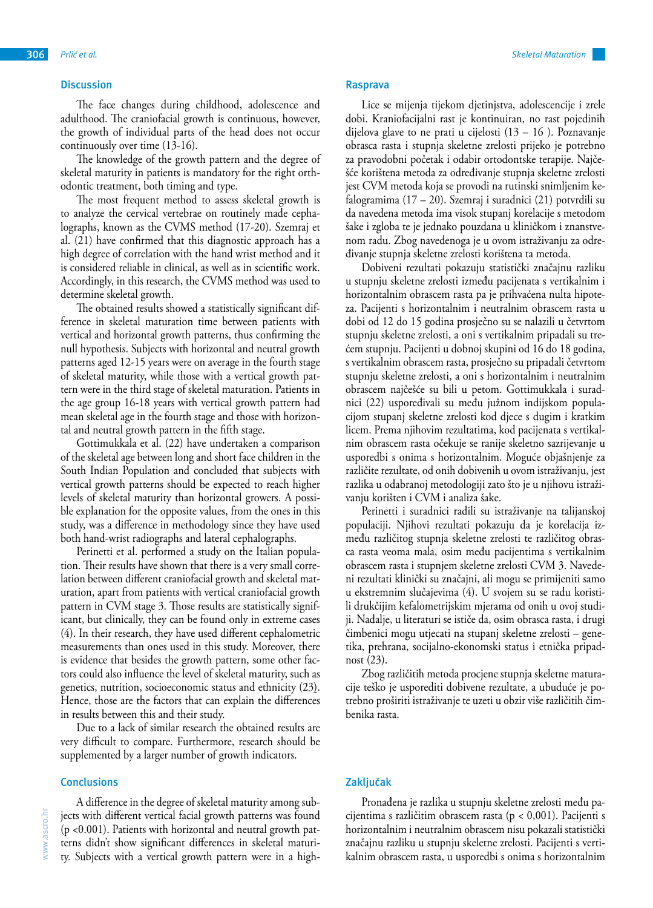## **Discussion**

The face changes during childhood, adolescence and adulthood. The craniofacial growth is continuous, however, the growth of individual parts of the head does not occur continuously over time (13-16).

The knowledge of the growth pattern and the degree of skeletal maturity in patients is mandatory for the right orthodontic treatment, both timing and type.

The most frequent method to assess skeletal growth is to analyze the cervical vertebrae on routinely made cephalographs, known as the CVMS method (17-20). Szemraj et al. (21) have confirmed that this diagnostic approach has a high degree of correlation with the hand wrist method and it is considered reliable in clinical, as well as in scientific work. Accordingly, in this research, the CVMS method was used to determine skeletal growth.

The obtained results showed a statistically significant difference in skeletal maturation time between patients with vertical and horizontal growth patterns, thus confirming the null hypothesis. Subjects with horizontal and neutral growth patterns aged 12-15 years were on average in the fourth stage of skeletal maturity, while those with a vertical growth pattern were in the third stage of skeletal maturation. Patients in the age group 16-18 years with vertical growth pattern had mean skeletal age in the fourth stage and those with horizontal and neutral growth pattern in the fifth stage.

Gottimukkala et al. (22) have undertaken a comparison of the skeletal age between long and short face children in the South Indian Population and concluded that subjects with vertical growth patterns should be expected to reach higher levels of skeletal maturity than horizontal growers. A possible explanation for the opposite values, from the ones in this study, was a difference in methodology since they have used both hand-wrist radiographs and lateral cephalographs.

Perinetti et al. performed a study on the Italian population. Their results have shown that there is a very small correlation between different craniofacial growth and skeletal maturation, apart from patients with vertical craniofacial growth pattern in CVM stage 3. Those results are statistically significant, but clinically, they can be found only in extreme cases (4). In their research, they have used different cephalometric measurements than ones used in this study. Moreover, there is evidence that besides the growth pattern, some other factors could also influence the level of skeletal maturity, such as genetics, nutrition, socioeconomic status and ethnicity (23). Hence, those are the factors that can explain the differences in results between this and their study.

Due to a lack of similar research the obtained results are very difficult to compare. Furthermore, research should be supplemented by a larger number of growth indicators.

# **Conclusions**

A difference in the degree of skeletal maturity among subjects with different vertical facial growth patterns was found (p <0.001). Patients with horizontal and neutral growth patterns didn't show significant differences in skeletal maturity. Subjects with a vertical growth pattern were in a high-

#### **Rasprava**

Lice se mijenja tijekom djetinjstva, adolescencije i zrele dobi. Kraniofacijalni rast je kontinuiran, no rast pojedinih dijelova glave to ne prati u cijelosti  $(13 - 16)$ . Poznavanje obrasca rasta i stupnja skeletne zrelosti prijeko je potrebno za pravodobni početak i odabir ortodontske terapije. Najčešće korištena metoda za određivanje stupnja skeletne zrelosti jest CVM metoda koja se provodi na rutinski snimljenim kefalogramima (17 – 20). Szemraj i suradnici (21) potvrdili su da navedena metoda ima visok stupanj korelacije s metodom šake i zgloba te je jednako pouzdana u kliničkom i znanstvenom radu. Zbog navedenoga je u ovom istraživanju za određivanje stupnja skeletne zrelosti korištena ta metoda.

Dobiveni rezultati pokazuju statistički značajnu razliku u stupnju skeletne zrelosti između pacijenata s vertikalnim i horizontalnim obrascem rasta pa je prihvaćena nulta hipoteza. Pacijenti s horizontalnim i neutralnim obrascem rasta u dobi od 12 do 15 godina prosječno su se nalazili u četvrtom stupnju skeletne zrelosti, a oni s vertikalnim pripadali su trećem stupnju. Pacijenti u dobnoj skupini od 16 do 18 godina, s vertikalnim obrascem rasta, prosječno su pripadali četvrtom stupnju skeletne zrelosti, a oni s horizontalnim i neutralnim obrascem najčešće su bili u petom. Gottimukkala i suradnici (22) uspoređivali su među južnom indijskom populacijom stupanj skeletne zrelosti kod djece s dugim i kratkim licem. Prema njihovim rezultatima, kod pacijenata s vertikalnim obrascem rasta očekuje se ranije skeletno sazrijevanje u usporedbi s onima s horizontalnim. Moguće objašnjenje za različite rezultate, od onih dobivenih u ovom istraživanju, jest razlika u odabranoj metodologiji zato što je u njihovu istraživanju korišten i CVM i analiza šake.

Perinetti i suradnici radili su istraživanje na talijanskoj populaciji. Njihovi rezultati pokazuju da je korelacija između različitog stupnja skeletne zrelosti te različitog obrasca rasta veoma mala, osim među pacijentima s vertikalnim obrascem rasta i stupnjem skeletne zrelosti CVM 3. Navedeni rezultati klinički su značajni, ali mogu se primijeniti samo u ekstremnim slučajevima (4). U svojem su se radu koristili drukčijim kefalometrijskim mjerama od onih u ovoj studiji. Nadalje, u literaturi se ističe da, osim obrasca rasta, i drugi čimbenici mogu utjecati na stupanj skeletne zrelosti – genetika, prehrana, socijalno-ekonomski status i etnička pripadnost (23).

Zbog različitih metoda procjene stupnja skeletne maturacije teško je usporediti dobivene rezultate, a ubuduće je potrebno proširiti istraživanje te uzeti u obzir više različitih čimbenika rasta.

# **Zaključak**

Pronađena je razlika u stupnju skeletne zrelosti među pacijentima s različitim obrascem rasta (p < 0,001). Pacijenti s horizontalnim i neutralnim obrascem nisu pokazali statistički značajnu razliku u stupnju skeletne zrelosti. Pacijenti s vertikalnim obrascem rasta, u usporedbi s onima s horizontalnim